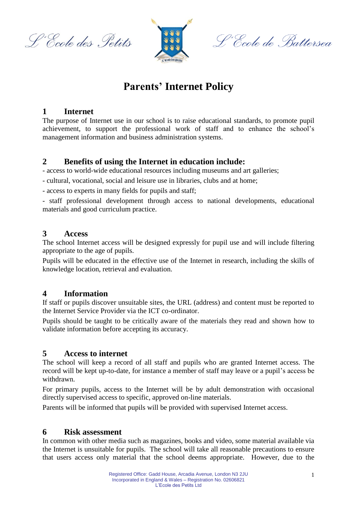L'Ecole des Petits



S'Ecole de Battersea

## **Parents' Internet Policy**

#### **1 Internet**

The purpose of Internet use in our school is to raise educational standards, to promote pupil achievement, to support the professional work of staff and to enhance the school's management information and business administration systems.

## **2 Benefits of using the Internet in education include:**

- access to world-wide educational resources including museums and art galleries;

- cultural, vocational, social and leisure use in libraries, clubs and at home;

- access to experts in many fields for pupils and staff;

- staff professional development through access to national developments, educational materials and good curriculum practice.

#### **3 Access**

The school Internet access will be designed expressly for pupil use and will include filtering appropriate to the age of pupils.

Pupils will be educated in the effective use of the Internet in research, including the skills of knowledge location, retrieval and evaluation.

## **4 Information**

If staff or pupils discover unsuitable sites, the URL (address) and content must be reported to the Internet Service Provider via the ICT co-ordinator.

Pupils should be taught to be critically aware of the materials they read and shown how to validate information before accepting its accuracy.

## **5 Access to internet**

The school will keep a record of all staff and pupils who are granted Internet access. The record will be kept up-to-date, for instance a member of staff may leave or a pupil's access be withdrawn.

For primary pupils, access to the Internet will be by adult demonstration with occasional directly supervised access to specific, approved on-line materials.

Parents will be informed that pupils will be provided with supervised Internet access.

## **6 Risk assessment**

In common with other media such as magazines, books and video, some material available via the Internet is unsuitable for pupils. The school will take all reasonable precautions to ensure that users access only material that the school deems appropriate. However, due to the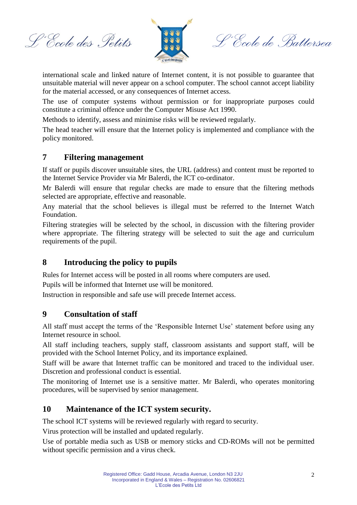L'Ecole des Petits



S'Ecole de Battersea

international scale and linked nature of Internet content, it is not possible to guarantee that unsuitable material will never appear on a school computer. The school cannot accept liability for the material accessed, or any consequences of Internet access.

The use of computer systems without permission or for inappropriate purposes could constitute a criminal offence under the Computer Misuse Act 1990.

Methods to identify, assess and minimise risks will be reviewed regularly.

The head teacher will ensure that the Internet policy is implemented and compliance with the policy monitored.

## **7 Filtering management**

If staff or pupils discover unsuitable sites, the URL (address) and content must be reported to the Internet Service Provider via Mr Balerdi, the ICT co-ordinator.

Mr Balerdi will ensure that regular checks are made to ensure that the filtering methods selected are appropriate, effective and reasonable.

Any material that the school believes is illegal must be referred to the Internet Watch Foundation.

Filtering strategies will be selected by the school, in discussion with the filtering provider where appropriate. The filtering strategy will be selected to suit the age and curriculum requirements of the pupil.

## **8 Introducing the policy to pupils**

Rules for Internet access will be posted in all rooms where computers are used.

Pupils will be informed that Internet use will be monitored.

Instruction in responsible and safe use will precede Internet access.

#### **9 Consultation of staff**

All staff must accept the terms of the 'Responsible Internet Use' statement before using any Internet resource in school.

All staff including teachers, supply staff, classroom assistants and support staff, will be provided with the School Internet Policy, and its importance explained.

Staff will be aware that Internet traffic can be monitored and traced to the individual user. Discretion and professional conduct is essential.

The monitoring of Internet use is a sensitive matter. Mr Balerdi, who operates monitoring procedures, will be supervised by senior management.

## **10 Maintenance of the ICT system security.**

The school ICT systems will be reviewed regularly with regard to security.

Virus protection will be installed and updated regularly.

Use of portable media such as USB or memory sticks and CD-ROMs will not be permitted without specific permission and a virus check.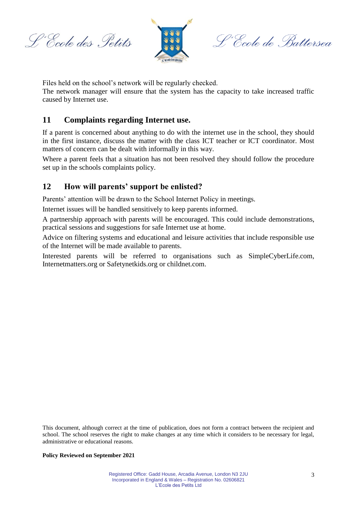L'Ecole des Petits



S'Ecole de Battersea

Files held on the school's network will be regularly checked.

The network manager will ensure that the system has the capacity to take increased traffic caused by Internet use.

#### **11 Complaints regarding Internet use.**

If a parent is concerned about anything to do with the internet use in the school, they should in the first instance, discuss the matter with the class ICT teacher or ICT coordinator. Most matters of concern can be dealt with informally in this way.

Where a parent feels that a situation has not been resolved they should follow the procedure set up in the schools complaints policy.

#### **12 How will parents' support be enlisted?**

Parents' attention will be drawn to the School Internet Policy in meetings.

Internet issues will be handled sensitively to keep parents informed.

A partnership approach with parents will be encouraged. This could include demonstrations, practical sessions and suggestions for safe Internet use at home.

Advice on filtering systems and educational and leisure activities that include responsible use of the Internet will be made available to parents.

Interested parents will be referred to organisations such as SimpleCyberLife.com, Internetmatters.org or Safetynetkids.org or childnet.com.

This document, although correct at the time of publication, does not form a contract between the recipient and school. The school reserves the right to make changes at any time which it considers to be necessary for legal, administrative or educational reasons.

#### **Policy Reviewed on September 2021**